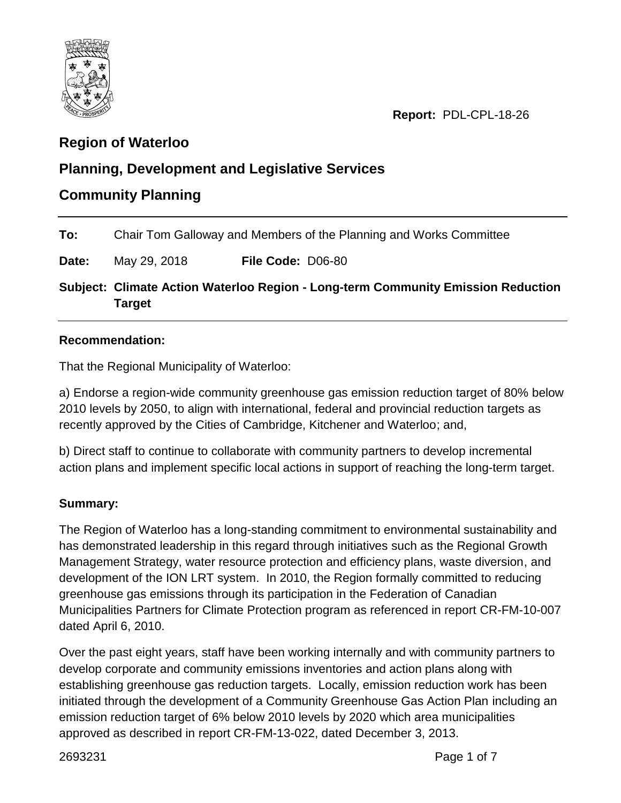

**Report:** PDL-CPL-18-26

# **Region of Waterloo**

# **Planning, Development and Legislative Services**

## **Community Planning**

**To:** Chair Tom Galloway and Members of the Planning and Works Committee **Date:** May 29, 2018 **File Code:** D06-80

## **Subject: Climate Action Waterloo Region - Long-term Community Emission Reduction Target**

## **Recommendation:**

That the Regional Municipality of Waterloo:

a) Endorse a region-wide community greenhouse gas emission reduction target of 80% below 2010 levels by 2050, to align with international, federal and provincial reduction targets as recently approved by the Cities of Cambridge, Kitchener and Waterloo; and,

b) Direct staff to continue to collaborate with community partners to develop incremental action plans and implement specific local actions in support of reaching the long-term target.

## **Summary:**

The Region of Waterloo has a long-standing commitment to environmental sustainability and has demonstrated leadership in this regard through initiatives such as the Regional Growth Management Strategy, water resource protection and efficiency plans, waste diversion, and development of the ION LRT system. In 2010, the Region formally committed to reducing greenhouse gas emissions through its participation in the Federation of Canadian Municipalities Partners for Climate Protection program as referenced in report CR-FM-10-007 dated April 6, 2010.

Over the past eight years, staff have been working internally and with community partners to develop corporate and community emissions inventories and action plans along with establishing greenhouse gas reduction targets. Locally, emission reduction work has been initiated through the development of a Community Greenhouse Gas Action Plan including an emission reduction target of 6% below 2010 levels by 2020 which area municipalities approved as described in report CR-FM-13-022, dated December 3, 2013.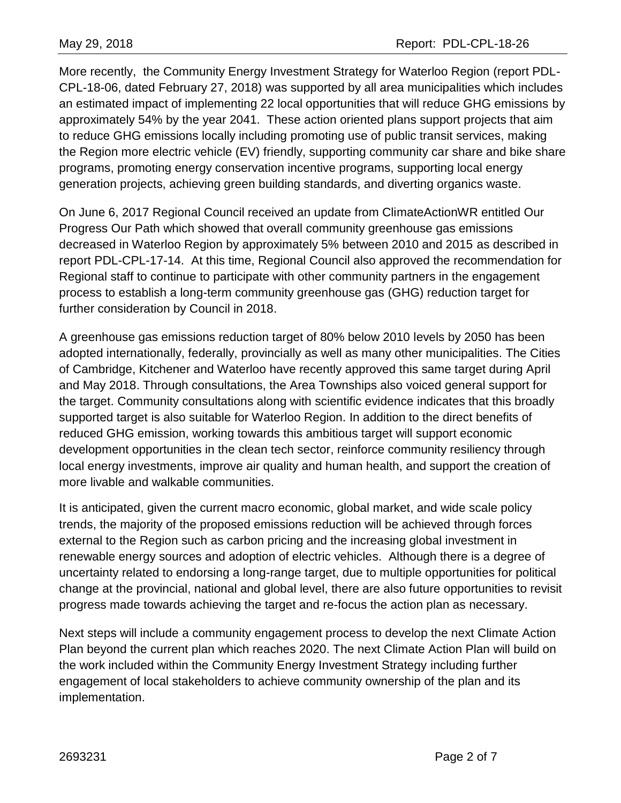More recently, the Community Energy Investment Strategy for Waterloo Region (report PDL-CPL-18-06, dated February 27, 2018) was supported by all area municipalities which includes an estimated impact of implementing 22 local opportunities that will reduce GHG emissions by approximately 54% by the year 2041. These action oriented plans support projects that aim to reduce GHG emissions locally including promoting use of public transit services, making the Region more electric vehicle (EV) friendly, supporting community car share and bike share programs, promoting energy conservation incentive programs, supporting local energy generation projects, achieving green building standards, and diverting organics waste.

On June 6, 2017 Regional Council received an update from ClimateActionWR entitled Our Progress Our Path which showed that overall community greenhouse gas emissions decreased in Waterloo Region by approximately 5% between 2010 and 2015 as described in report PDL-CPL-17-14. At this time, Regional Council also approved the recommendation for Regional staff to continue to participate with other community partners in the engagement process to establish a long-term community greenhouse gas (GHG) reduction target for further consideration by Council in 2018.

A greenhouse gas emissions reduction target of 80% below 2010 levels by 2050 has been adopted internationally, federally, provincially as well as many other municipalities. The Cities of Cambridge, Kitchener and Waterloo have recently approved this same target during April and May 2018. Through consultations, the Area Townships also voiced general support for the target. Community consultations along with scientific evidence indicates that this broadly supported target is also suitable for Waterloo Region. In addition to the direct benefits of reduced GHG emission, working towards this ambitious target will support economic development opportunities in the clean tech sector, reinforce community resiliency through local energy investments, improve air quality and human health, and support the creation of more livable and walkable communities.

It is anticipated, given the current macro economic, global market, and wide scale policy trends, the majority of the proposed emissions reduction will be achieved through forces external to the Region such as carbon pricing and the increasing global investment in renewable energy sources and adoption of electric vehicles. Although there is a degree of uncertainty related to endorsing a long-range target, due to multiple opportunities for political change at the provincial, national and global level, there are also future opportunities to revisit progress made towards achieving the target and re-focus the action plan as necessary.

Next steps will include a community engagement process to develop the next Climate Action Plan beyond the current plan which reaches 2020. The next Climate Action Plan will build on the work included within the Community Energy Investment Strategy including further engagement of local stakeholders to achieve community ownership of the plan and its implementation.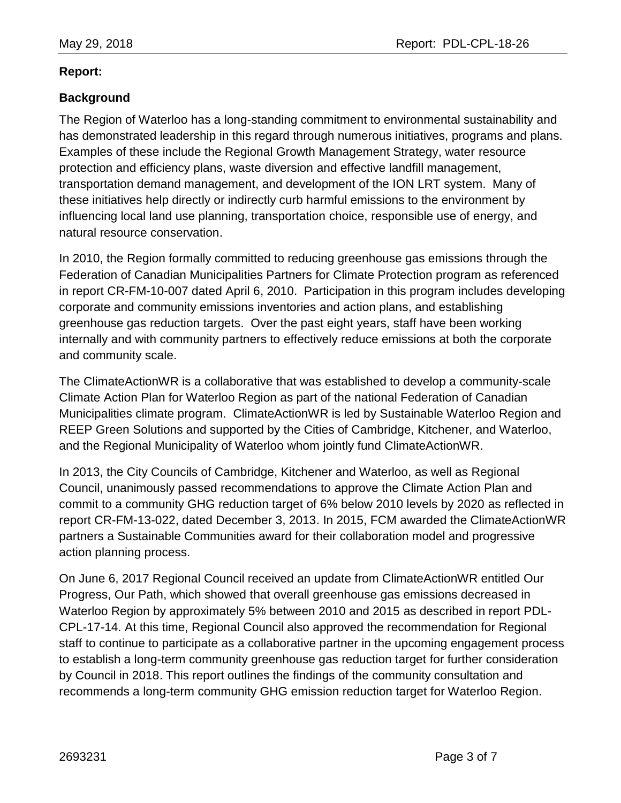## **Report:**

## **Background**

The Region of Waterloo has a long-standing commitment to environmental sustainability and has demonstrated leadership in this regard through numerous initiatives, programs and plans. Examples of these include the Regional Growth Management Strategy, water resource protection and efficiency plans, waste diversion and effective landfill management, transportation demand management, and development of the ION LRT system. Many of these initiatives help directly or indirectly curb harmful emissions to the environment by influencing local land use planning, transportation choice, responsible use of energy, and natural resource conservation.

In 2010, the Region formally committed to reducing greenhouse gas emissions through the Federation of Canadian Municipalities Partners for Climate Protection program as referenced in report CR-FM-10-007 dated April 6, 2010. Participation in this program includes developing corporate and community emissions inventories and action plans, and establishing greenhouse gas reduction targets. Over the past eight years, staff have been working internally and with community partners to effectively reduce emissions at both the corporate and community scale.

The ClimateActionWR is a collaborative that was established to develop a community-scale Climate Action Plan for Waterloo Region as part of the national Federation of Canadian Municipalities climate program. ClimateActionWR is led by Sustainable Waterloo Region and REEP Green Solutions and supported by the Cities of Cambridge, Kitchener, and Waterloo, and the Regional Municipality of Waterloo whom jointly fund ClimateActionWR.

In 2013, the City Councils of Cambridge, Kitchener and Waterloo, as well as Regional Council, unanimously passed recommendations to approve the [Climate Action Plan](http://www.climateactionwr.ca/learn-more/documents/) and commit to a community GHG reduction target of 6% below 2010 levels by 2020 as reflected in report CR-FM-13-022, dated December 3, 2013. In 2015, FCM awarded the ClimateActionWR partners a Sustainable Communities award for their collaboration model and progressive action planning process.

On June 6, 2017 Regional Council received an update from ClimateActionWR entitled Our Progress, Our Path, which showed that overall greenhouse gas emissions decreased in Waterloo Region by approximately 5% between 2010 and 2015 as described in report PDL-CPL-17-14. At this time, Regional Council also approved the recommendation for Regional staff to continue to participate as a collaborative partner in the upcoming engagement process to establish a long-term community greenhouse gas reduction target for further consideration by Council in 2018. This report outlines the findings of the community consultation and recommends a long-term community GHG emission reduction target for Waterloo Region.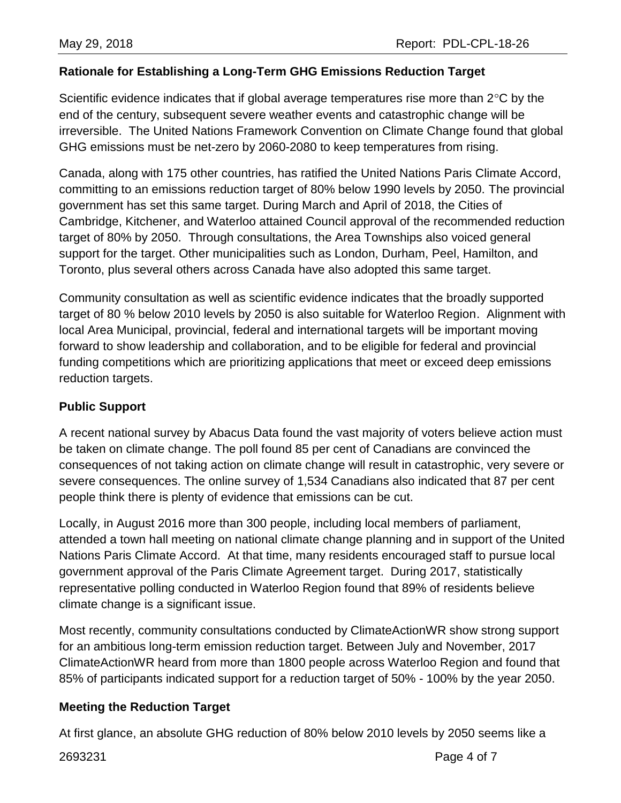#### **Rationale for Establishing a Long-Term GHG Emissions Reduction Target**

Scientific evidence indicates that if global average temperatures rise more than  $2^{\circ}C$  by the end of the century, subsequent severe weather events and catastrophic change will be irreversible. The United Nations Framework Convention on Climate Change found that global GHG emissions must be net-zero by 2060-2080 to keep temperatures from rising.

Canada, along with 175 other countries, has ratified the United Nations Paris Climate Accord, committing to an emissions reduction target of 80% below 1990 levels by 2050. The provincial government has set this same target. During March and April of 2018, the Cities of Cambridge, Kitchener, and Waterloo attained Council approval of the recommended reduction target of 80% by 2050. Through consultations, the Area Townships also voiced general support for the target. Other municipalities such as London, Durham, Peel, Hamilton, and Toronto, plus several others across Canada have also adopted this same target.

Community consultation as well as scientific evidence indicates that the broadly supported target of 80 % below 2010 levels by 2050 is also suitable for Waterloo Region. Alignment with local Area Municipal, provincial, federal and international targets will be important moving forward to show leadership and collaboration, and to be eligible for federal and provincial funding competitions which are prioritizing applications that meet or exceed deep emissions reduction targets.

#### **Public Support**

A recent national survey by Abacus Data found the vast majority of voters believe action must be taken on climate change. The poll found 85 per cent of Canadians are convinced the consequences of not taking action on climate change will result in catastrophic, very severe or severe consequences. The online survey of 1,534 Canadians also indicated that 87 per cent people think there is plenty of evidence that emissions can be cut.

Locally, in August 2016 more than 300 people, including local members of parliament, attended a town hall meeting on national climate change planning and in support of the United Nations Paris Climate Accord. At that time, many residents encouraged staff to pursue local government approval of the Paris Climate Agreement target. During 2017, statistically representative polling conducted in Waterloo Region found that 89% of residents believe climate change is a significant issue.

Most recently, community consultations conducted by ClimateActionWR show strong support for an ambitious long-term emission reduction target. Between July and November, 2017 ClimateActionWR heard from more than 1800 people across Waterloo Region and found that 85% of participants indicated support for a reduction target of 50% - 100% by the year 2050.

#### **Meeting the Reduction Target**

At first glance, an absolute GHG reduction of 80% below 2010 levels by 2050 seems like a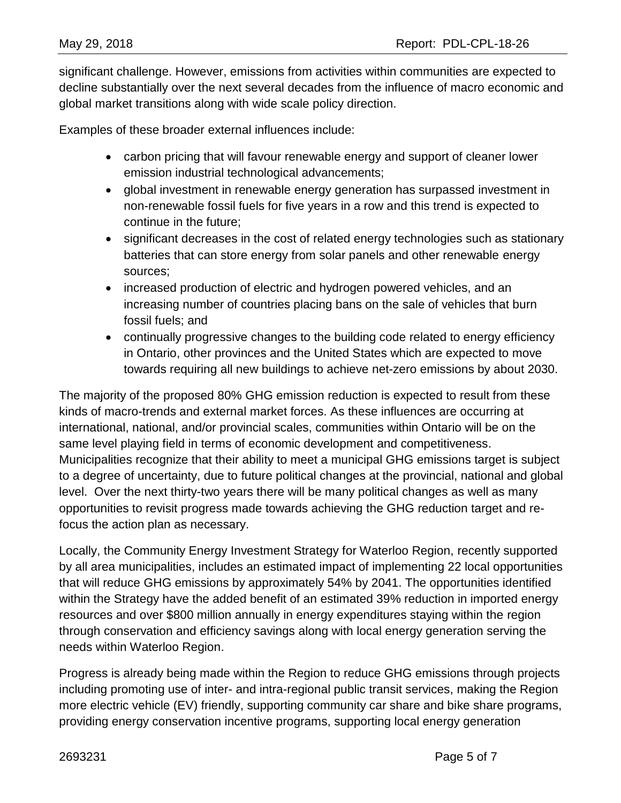significant challenge. However, emissions from activities within communities are expected to decline substantially over the next several decades from the influence of macro economic and global market transitions along with wide scale policy direction.

Examples of these broader external influences include:

- carbon pricing that will favour renewable energy and support of cleaner lower emission industrial technological advancements;
- global investment in renewable energy generation has surpassed investment in non-renewable fossil fuels for five years in a row and this trend is expected to continue in the future;
- significant decreases in the cost of related energy technologies such as stationary batteries that can store energy from solar panels and other renewable energy sources;
- increased production of electric and hydrogen powered vehicles, and an increasing number of countries placing bans on the sale of vehicles that burn fossil fuels; and
- continually progressive changes to the building code related to energy efficiency in Ontario, other provinces and the United States which are expected to move towards requiring all new buildings to achieve net-zero emissions by about 2030.

The majority of the proposed 80% GHG emission reduction is expected to result from these kinds of macro-trends and external market forces. As these influences are occurring at international, national, and/or provincial scales, communities within Ontario will be on the same level playing field in terms of economic development and competitiveness. Municipalities recognize that their ability to meet a municipal GHG emissions target is subject to a degree of uncertainty, due to future political changes at the provincial, national and global level. Over the next thirty-two years there will be many political changes as well as many opportunities to revisit progress made towards achieving the GHG reduction target and refocus the action plan as necessary.

Locally, the Community Energy Investment Strategy for Waterloo Region, recently supported by all area municipalities, includes an estimated impact of implementing 22 local opportunities that will reduce GHG emissions by approximately 54% by 2041. The opportunities identified within the Strategy have the added benefit of an estimated 39% reduction in imported energy resources and over \$800 million annually in energy expenditures staying within the region through conservation and efficiency savings along with local energy generation serving the needs within Waterloo Region.

Progress is already being made within the Region to reduce GHG emissions through projects including promoting use of inter- and intra-regional public transit services, making the Region more electric vehicle (EV) friendly, supporting community car share and bike share programs, providing energy conservation incentive programs, supporting local energy generation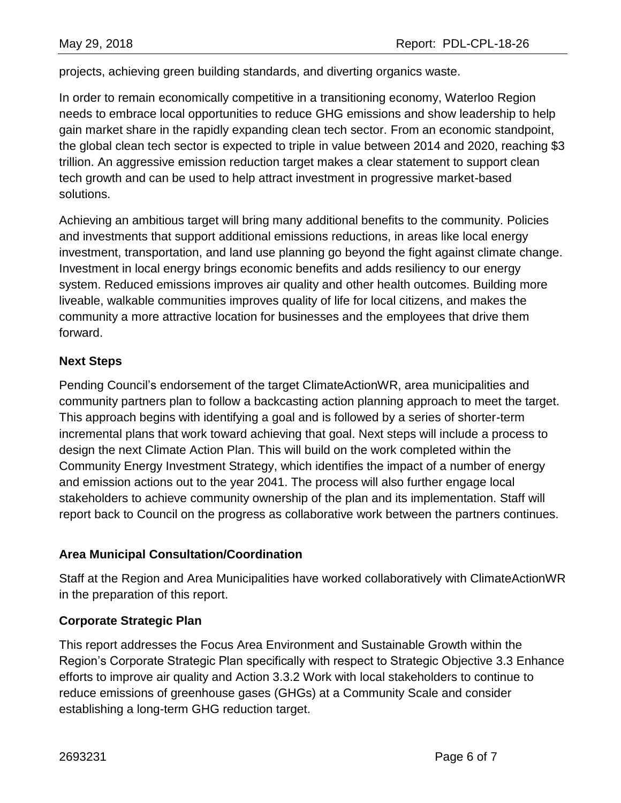projects, achieving green building standards, and diverting organics waste.

In order to remain economically competitive in a transitioning economy, Waterloo Region needs to embrace local opportunities to reduce GHG emissions and show leadership to help gain market share in the rapidly expanding clean tech sector. From an economic standpoint, the global clean tech sector is expected to triple in value between 2014 and 2020, reaching \$3 trillion. An aggressive emission reduction target makes a clear statement to support clean tech growth and can be used to help attract investment in progressive market-based solutions.

Achieving an ambitious target will bring many additional benefits to the community. Policies and investments that support additional emissions reductions, in areas like local energy investment, transportation, and land use planning go beyond the fight against climate change. Investment in local energy brings economic benefits and adds resiliency to our energy system. Reduced emissions improves air quality and other health outcomes. Building more liveable, walkable communities improves quality of life for local citizens, and makes the community a more attractive location for businesses and the employees that drive them forward.

## **Next Steps**

Pending Council's endorsement of the target ClimateActionWR, area municipalities and community partners plan to follow a backcasting action planning approach to meet the target. This approach begins with identifying a goal and is followed by a series of shorter-term incremental plans that work toward achieving that goal. Next steps will include a process to design the next Climate Action Plan. This will build on the work completed within the Community Energy Investment Strategy, which identifies the impact of a number of energy and emission actions out to the year 2041. The process will also further engage local stakeholders to achieve community ownership of the plan and its implementation. Staff will report back to Council on the progress as collaborative work between the partners continues.

#### **Area Municipal Consultation/Coordination**

Staff at the Region and Area Municipalities have worked collaboratively with ClimateActionWR in the preparation of this report.

#### **Corporate Strategic Plan**

This report addresses the Focus Area Environment and Sustainable Growth within the Region's Corporate Strategic Plan specifically with respect to Strategic Objective 3.3 Enhance efforts to improve air quality and Action 3.3.2 Work with local stakeholders to continue to reduce emissions of greenhouse gases (GHGs) at a Community Scale and consider establishing a long-term GHG reduction target.